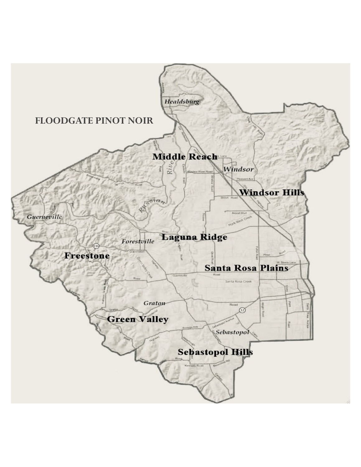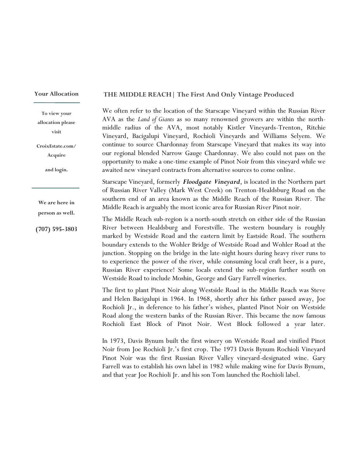## **Your Allocation**

**To view your allocation please visit**

**CroixEstate.com/ Acquire** 

**and login.**

**We are here in person as well.**

**(707) 595-3803** 

We often refer to the location of the Starscape Vineyard within the Russian River

**THE MIDDLE REACH| The First And Only Vintage Produced**

AVA as the *Land of Giants* as so many renowned growers are within the northmiddle radius of the AVA, most notably Kistler Vineyards-Trenton, Ritchie Vineyard, Bacigalupi Vineyard, Rochioli Vineyards and Williams Selyem. We continue to source Chardonnay from Starscape Vineyard that makes its way into our regional blended Narrow Gauge Chardonnay. We also could not pass on the opportunity to make a one-time example of Pinot Noir from this vineyard while we awaited new vineyard contracts from alternative sources to come online.

Starscape Vineyard, formerly *Floodgate Vineyard*, is located in the Northern part of Russian River Valley (Mark West Creek) on Trenton-Healdsburg Road on the southern end of an area known as the Middle Reach of the Russian River. The Middle Reach is arguably the most iconic area for Russian River Pinot noir.

The Middle Reach sub-region is a north-south stretch on either side of the Russian River between Healdsburg and Forestville. The western boundary is roughly marked by Westside Road and the eastern limit by Eastside Road. The southern boundary extends to the Wohler Bridge of Westside Road and Wohler Road at the junction. Stopping on the bridge in the late-night hours during heavy river runs to to experience the power of the river, while consuming local craft beer, is a pure, Russian River experience! Some locals extend the sub-region further south on Westside Road to include Moshin, George and Gary Farrell wineries.

The first to plant Pinot Noir along Westside Road in the Middle Reach was Steve and Helen Bacigalupi in 1964. In 1968, shortly after his father passed away, Joe Rochioli Jr., in deference to his father's wishes, planted Pinot Noir on Westside Road along the western banks of the Russian River. This became the now famous Rochioli East Block of Pinot Noir. West Block followed a year later.

In 1973, Davis Bynum built the first winery on Westside Road and vinified Pinot Noir from Joe Rochioli Jr.'s first crop. The 1973 Davis Bynum Rochioli Vineyard Pinot Noir was the first Russian River Valley vineyard-designated wine. Gary Farrell was to establish his own label in 1982 while making wine for Davis Bynum, and that year Joe Rochioli Jr. and his son Tom launched the Rochioli label.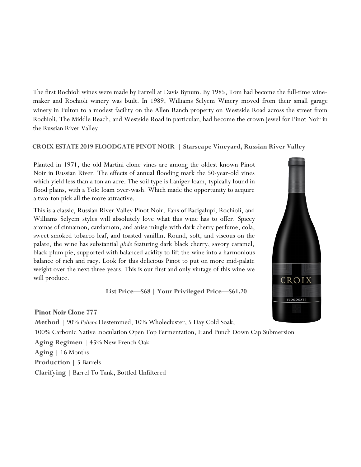The first Rochioli wines were made by Farrell at Davis Bynum. By 1985, Tom had become the full-time winemaker and Rochioli winery was built. In 1989, Williams Selyem Winery moved from their small garage winery in Fulton to a modest facility on the Allen Ranch property on Westside Road across the street from Rochioli. The Middle Reach, and Westside Road in particular, had become the crown jewel for Pinot Noir in the Russian River Valley.

## **CROIX ESTATE 2019 FLOODGATE PINOT NOIR | Starscape Vineyard, Russian River Valley**

Planted in 1971, the old Martini clone vines are among the oldest known Pinot Noir in Russian River. The effects of annual flooding mark the 50-year-old vines which yield less than a ton an acre. The soil type is Laniger loam, typically found in flood plains, with a Yolo loam over-wash. Which made the opportunity to acquire a two-ton pick all the more attractive.

This is a classic, Russian River Valley Pinot Noir. Fans of Bacigalupi, Rochioli, and Williams Selyem styles will absolutely love what this wine has to offer. Spicey aromas of cinnamon, cardamom, and anise mingle with dark cherry perfume, cola, sweet smoked tobacco leaf, and toasted vanillin. Round, soft, and viscous on the palate, the wine has substantial *glide* featuring dark black cherry, savory caramel, black plum pie, supported with balanced acidity to lift the wine into a harmonious balance of rich and racy. Look for this delicious Pinot to put on more mid-palate weight over the next three years. This is our first and only vintage of this wine we will produce.

**List Price—\$68 | Your Privileged Price—\$61.20** 

## **Pinot Noir Clone 777**

**Method** | 90% *Pellenc* Destemmed, 10% Wholecluster, 5 Day Cold Soak,

100% Carbonic Native Inoculation Open Top Fermentation, Hand Punch Down Cap Submersion

**Aging Regimen** | 45% New French Oak

**Aging** | 16 Months

**Production** | 5 Barrels

**Clarifying** | Barrel To Tank, Bottled Unfiltered